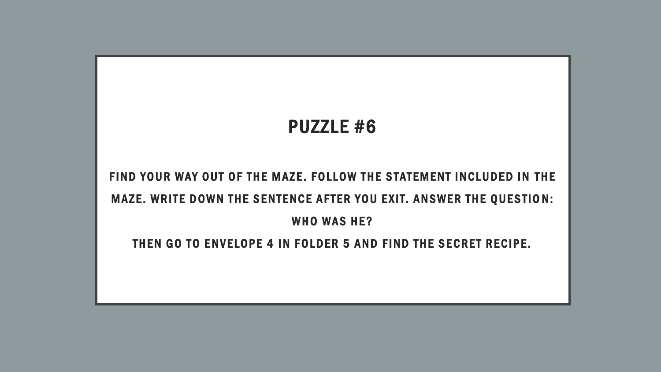## PUZZLE #6

## FIND YOUR WAY OUT OF THE MAZE. FOLLOW THE STATEMENT INCLUDED IN THE MAZE. WRITE DOWN THE SENTENCE AFTER YOU EXIT. ANSWER THE QUESTION: WHO WAS HE?

## THEN GO TO ENVELOPE 4 IN FOLDER 5 AND FIND THE SECRET RECIPE.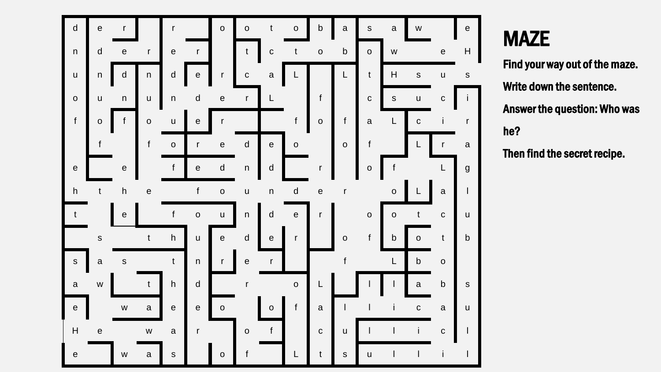

## **MAZE**

Find your way out of the maze. Write down the sentence. Answer the question: Who was he ?

Then find the secret recipe.